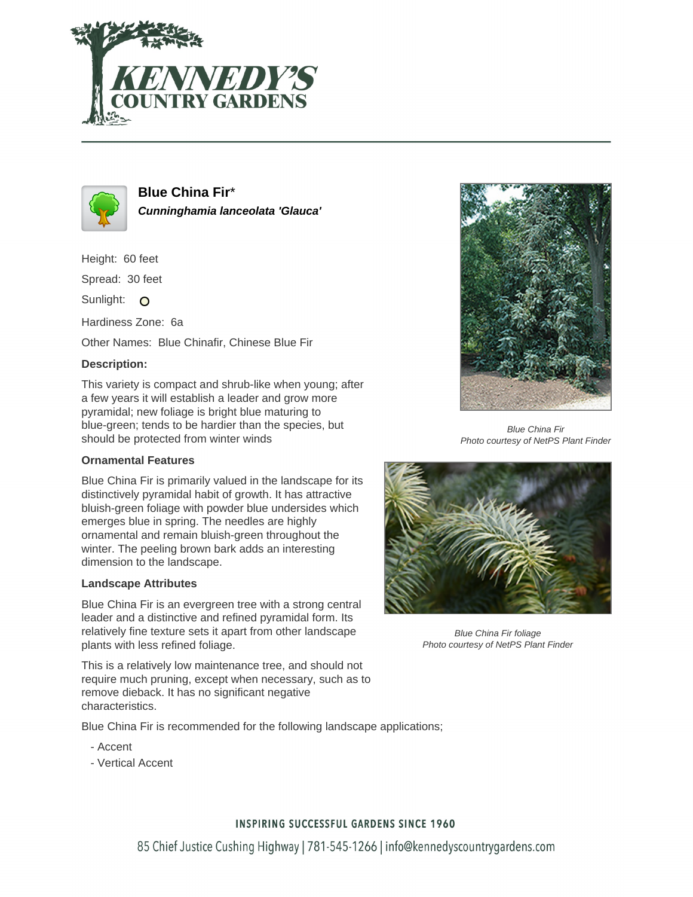



**Blue China Fir**\* **Cunninghamia lanceolata 'Glauca'**

Height: 60 feet

Spread: 30 feet

Sunlight: O

Hardiness Zone: 6a

Other Names: Blue Chinafir, Chinese Blue Fir

### **Description:**

This variety is compact and shrub-like when young; after a few years it will establish a leader and grow more pyramidal; new foliage is bright blue maturing to blue-green; tends to be hardier than the species, but should be protected from winter winds

#### **Ornamental Features**

Blue China Fir is primarily valued in the landscape for its distinctively pyramidal habit of growth. It has attractive bluish-green foliage with powder blue undersides which emerges blue in spring. The needles are highly ornamental and remain bluish-green throughout the winter. The peeling brown bark adds an interesting dimension to the landscape.

#### **Landscape Attributes**

Blue China Fir is an evergreen tree with a strong central leader and a distinctive and refined pyramidal form. Its relatively fine texture sets it apart from other landscape plants with less refined foliage.

This is a relatively low maintenance tree, and should not require much pruning, except when necessary, such as to remove dieback. It has no significant negative characteristics.

Blue China Fir is recommended for the following landscape applications;

- Accent
- Vertical Accent



Blue China Fir Photo courtesy of NetPS Plant Finder



Blue China Fir foliage Photo courtesy of NetPS Plant Finder

## **INSPIRING SUCCESSFUL GARDENS SINCE 1960**

85 Chief Justice Cushing Highway | 781-545-1266 | info@kennedyscountrygardens.com